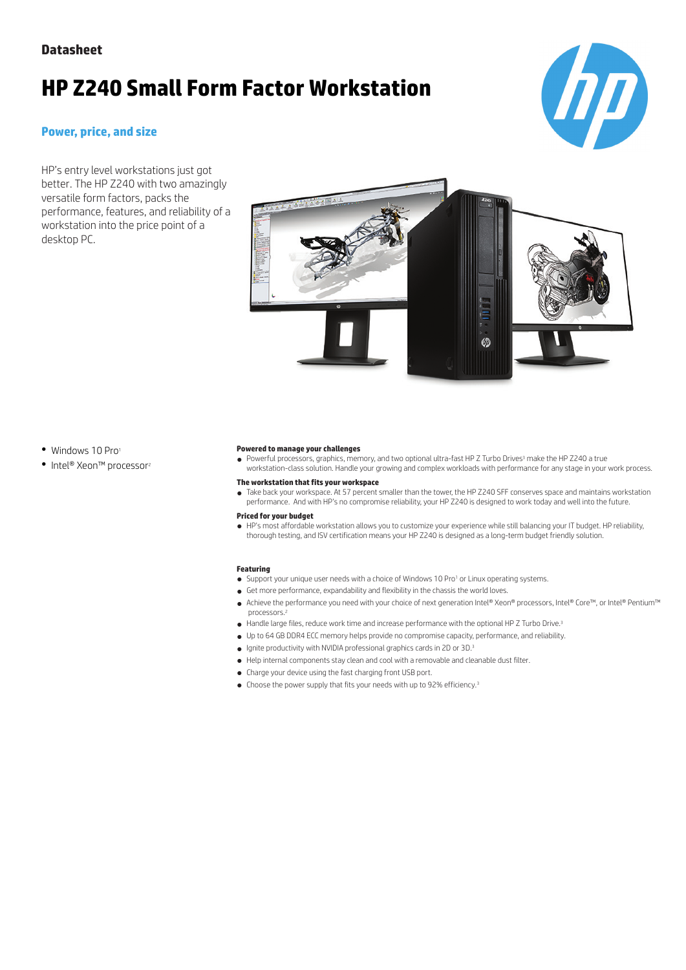# **HP Z240 Small Form Factor Workstation**

### **Power, price, and size**

HP's entry level workstations just got better. The HP Z240 with two amazingly versatile form factors, packs the performance, features, and reliability of a workstation into the price point of a desktop PC.





• Windows 10 Pro

● Intel® Xeon™ processor<sup>2</sup>

#### **Powered to manage your challenges**

● Powerful processors, graphics, memory, and two optional ultra-fast HP Z Turbo Drives<sup>3</sup> make the HP Z240 a true workstation-class solution. Handle your growing and complex workloads with performance for any stage in your work process.

- **The workstation that fits your workspace**
- Take back your workspace. At 57 percent smaller than the tower, the HP Z240 SFF conserves space and maintains workstation performance. And with HP's no compromise reliability, your HP Z240 is designed to work today and well into the future.

#### **Priced for your budget**

● HP's most affordable workstation allows you to customize your experience while still balancing your IT budget. HP reliability, thorough testing, and ISV certification means your HP Z240 is designed as a long-term budget friendly solution.

#### **Featuring**

- Support your unique user needs with a choice of Windows 10 Pro<sup>1</sup> or Linux operating systems.
- Get more performance, expandability and flexibility in the chassis the world loves.
- Achieve the performance you need with your choice of next generation Intel® Xeon® processors, Intel® Core™, or Intel® Pentium™ processors.<sup>2</sup>
- Handle large files, reduce work time and increase performance with the optional HP Z Turbo Drive.<sup>3</sup>
- Up to 64 GB DDR4 ECC memory helps provide no compromise capacity, performance, and reliability.
- Ignite productivity with NVIDIA professional graphics cards in 2D or 3D.<sup>3</sup>
- Help internal components stay clean and cool with a removable and cleanable dust filter.
- Charge your device using the fast charging front USB port.
- Choose the power supply that fits your needs with up to 92% efficiency.<sup>3</sup>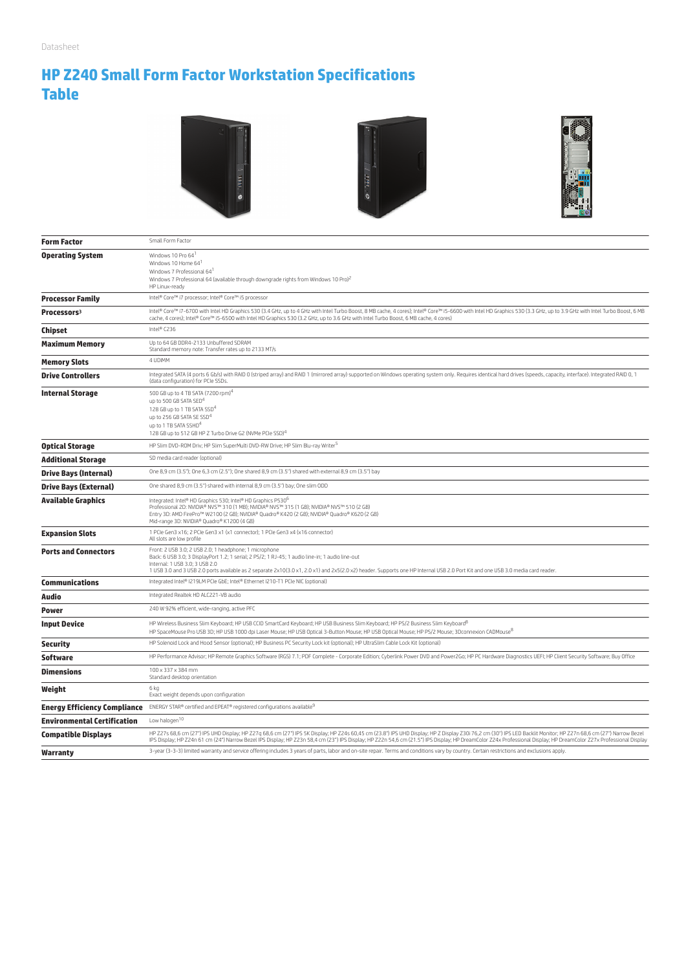# **HP Z240 Small Form Factor Workstation Specifications Table**







| <b>Form Factor</b>                 | Small Form Factor                                                                                                                                                                                                                                                                                                                                                                                                                         |
|------------------------------------|-------------------------------------------------------------------------------------------------------------------------------------------------------------------------------------------------------------------------------------------------------------------------------------------------------------------------------------------------------------------------------------------------------------------------------------------|
| <b>Operating System</b>            | Windows 10 Pro 64<br>Windows 10 Home 64 <sup>1</sup><br>Windows 7 Professional 64 <sup>1</sup><br>Windows 7 Professional 64 (available through downgrade rights from Windows 10 Pro) <sup>2</sup><br>HP Linux-ready                                                                                                                                                                                                                       |
| <b>Processor Family</b>            | Intel® Core™ i7 processor; Intel® Core™ i5 processor                                                                                                                                                                                                                                                                                                                                                                                      |
| Processors <sup>3</sup>            | Intel® Core™ i7-6700 with Intel HD Graphics 530 (3.4 GHz, up to 4 GHz with Intel Turbo Boost, 8 MB cache, 4 cores); Intel® Core™ i5-6600 with Intel HD Graphics 530 (3.3 GHz, up to 3.9 GHz with Intel Turbo Boost, 6 MB<br>cache, 4 cores); Intel® Core™ i5-6500 with Intel HD Graphics 530 (3.2 GHz, up to 3.6 GHz with Intel Turbo Boost, 6 MB cache, 4 cores)                                                                         |
| Chipset                            | Intel® C236                                                                                                                                                                                                                                                                                                                                                                                                                               |
| <b>Maximum Memory</b>              | Up to 64 GB DDR4-2133 Unbuffered SDRAM<br>Standard memory note: Transfer rates up to 2133 MT/s                                                                                                                                                                                                                                                                                                                                            |
| <b>Memory Slots</b>                | 4 UDIMM                                                                                                                                                                                                                                                                                                                                                                                                                                   |
| <b>Drive Controllers</b>           | Integrated SATA (4 ports 6 Gb/s) with RAID 0 (striped array) and RAID 1 (mirrored array) supported on Windows operating system only. Requires identical hard drives (speeds, capacity, interface). Integrated RAID 0, 1<br>(data configuration) for PCIe SSDs.                                                                                                                                                                            |
| <b>Internal Storage</b>            | 500 GB up to 4 TB SATA (7200 rpm) <sup>4</sup><br>up to 500 GB SATA SED <sup>4</sup><br>128 GB up to 1 TB SATA SSD <sup>4</sup><br>up to 256 GB SATA SE SSD <sup>4</sup><br>up to 1 TB SATA SSHD <sup>4</sup><br>128 GB up to 512 GB HP Z Turbo Drive G2 (NVMe PCIe SSD) <sup>4</sup>                                                                                                                                                     |
| <b>Optical Storage</b>             | HP Slim DVD-ROM Driv; HP Slim SuperMulti DVD-RW Drive; HP Slim Blu-ray Writer <sup>5</sup>                                                                                                                                                                                                                                                                                                                                                |
| <b>Additional Storage</b>          | SD media card reader (optional)                                                                                                                                                                                                                                                                                                                                                                                                           |
| <b>Drive Bays (Internal)</b>       | One 8,9 cm (3.5"); One 6,3 cm (2.5"); One shared 8,9 cm (3.5") shared with external 8,9 cm (3.5") bay                                                                                                                                                                                                                                                                                                                                     |
| <b>Drive Bays (External)</b>       | One shared 8,9 cm (3.5") shared with internal 8,9 cm (3.5") bay; One slim ODD                                                                                                                                                                                                                                                                                                                                                             |
| <b>Available Graphics</b>          | Integrated: Intel® HD Graphics 530; Intel® HD Graphics P530 <sup>6</sup><br>Professional 2D: NVIDIA® NVS™ 310 (1 MB); NVIDIA® NVS™ 315 (1 GB); NVIDIA® NVS™ 510 (2 GB)<br>Entry 3D: AMD FirePro™ W2100 (2 GB); NVIDIA® Quadro® K420 (2 GB); NVIDIA® Quadro® K620 (2 GB)<br>Mid-range 3D: NVIDIA® Quadro® K1200 (4 GB)                                                                                                                     |
| <b>Expansion Slots</b>             | 1 PCIe Gen3 x16; 2 PCIe Gen3 x1 (x1 connector); 1 PCIe Gen3 x4 (x16 connector)<br>All slots are low profile                                                                                                                                                                                                                                                                                                                               |
| <b>Ports and Connectors</b>        | Front: 2 USB 3.0; 2 USB 2.0; 1 headphone; 1 microphone<br>Back: 6 USB 3.0; 3 DisplayPort 1.2; 1 serial; 2 PS/2; 1 RJ-45; 1 audio line-in; 1 audio line-out<br>Internal: 1 USB 3.0: 3 USB 2.0<br>1 USB 3.0 and 3 USB 2.0 ports available as 2 separate 2x10(3.0 x1, 2.0 x1) and 2x5(2.0 x2) header. Supports one HP Internal USB 2.0 Port Kit and one USB 3.0 media card reader.                                                           |
| Communications                     | Integrated Intel® I219LM PCIe GbE; Intel® Ethernet I210-T1 PCIe NIC (optional)                                                                                                                                                                                                                                                                                                                                                            |
| Audio                              | Integrated Realtek HD ALC221-VB audio                                                                                                                                                                                                                                                                                                                                                                                                     |
| Power                              | 240 W 92% efficient, wide-ranging, active PFC                                                                                                                                                                                                                                                                                                                                                                                             |
| <b>Input Device</b>                | HP Wireless Business Slim Keyboard; HP USB CCID SmartCard Keyboard; HP USB Business Slim Keyboard; HP PS/2 Business Slim Keyboard <sup>8</sup><br>HP SpaceMouse Pro USB 3D; HP USB 1000 dpi Laser Mouse; HP USB Optical 3-Button Mouse; HP USB Optical Mouse; HP PS/2 Mouse; 3Dconnexion CADMouse8                                                                                                                                        |
| <b>Security</b>                    | HP Solenoid Lock and Hood Sensor (optional); HP Business PC Security Lock kit (optional); HP UltraSlim Cable Lock Kit (optional)                                                                                                                                                                                                                                                                                                          |
| Software                           | HP Performance Advisor; HP Remote Graphics Software (RGS) 7.1; PDF Complete - Corporate Edition; Cyberlink Power DVD and Power2Go; HP PC Hardware Diagnostics UEFI; HP Client Security Software; Buy Office                                                                                                                                                                                                                               |
| <b>Dimensions</b>                  | 100 x 337 x 384 mm<br>Standard desktop orientation                                                                                                                                                                                                                                                                                                                                                                                        |
| Weight                             | 6 kg<br>Exact weight depends upon configuration                                                                                                                                                                                                                                                                                                                                                                                           |
|                                    | Energy Efficiency Compliance ENERGY STAR® certified and EPEAT® registered configurations available <sup>9</sup>                                                                                                                                                                                                                                                                                                                           |
| <b>Environmental Certification</b> | Low halogen <sup>10</sup>                                                                                                                                                                                                                                                                                                                                                                                                                 |
| <b>Compatible Displays</b>         | HP Z27s 68,6 cm (27") IPS UHD Display; HP Z27g 68,6 cm (27") IPS 5K Display; HP Z24s 60,45 cm (23.8") IPS UHD Display; HP Z Display 230i 76,2 cm (30") IPS LED Backlit Monitor; HP Z27n 68,6 cm (27") Narrow Bezel<br>IPS Display; HP Z24n 61 cm (24") Narrow Bezel IPS Display; HP Z23n 58,4 cm (23") IPS Display; HP Z22n 54,6 cm (21.5") IPS Display; HP DreamColor Z24x Professional Display; HP DreamColor Z27x Professional Display |
| Warranty                           | 3-year (3-3-3) limited warranty and service offering includes 3 years of parts, labor and on-site repair. Terms and conditions vary by country. Certain restrictions and exclusions apply.                                                                                                                                                                                                                                                |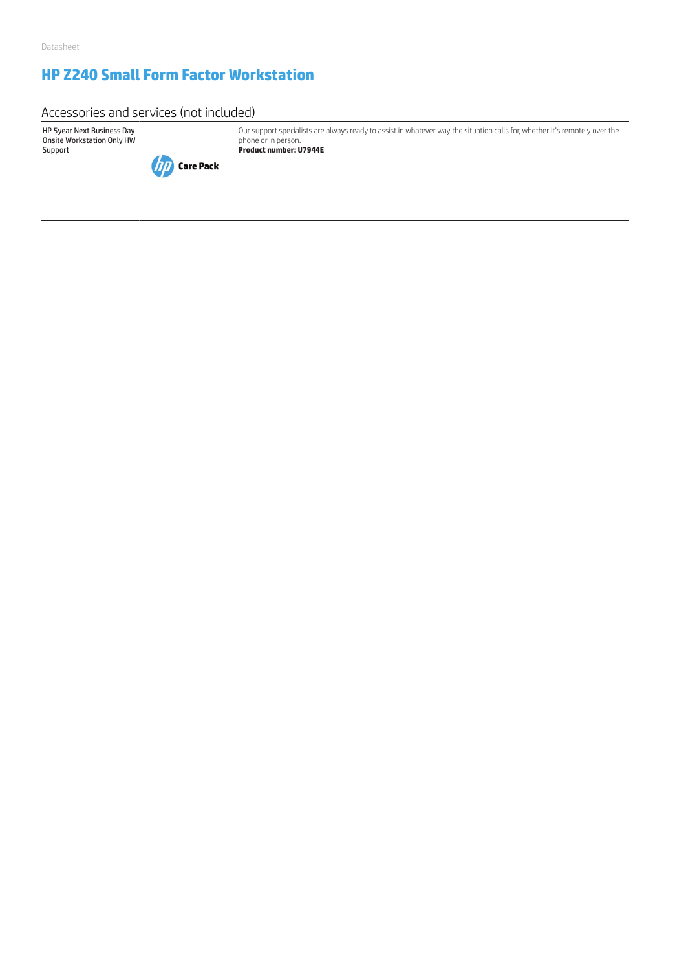# **HP Z240 Small Form Factor Workstation**

Accessories and services (not included)

HP 5year Next Business Day Onsite Workstation Only HW Support



Our support specialists are always ready to assist in whatever way the situation calls for, whether it's remotely over the phone or in person. **Product number: U7944E**